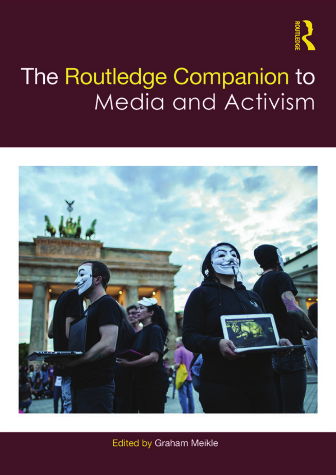

# The Routledge Companion to **Media and Activism**



**Edited by Graham Meikle**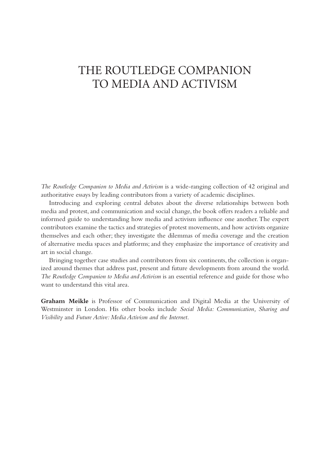### THE ROUTLEDGE COMPANION TO MEDIA AND ACTIVISM

*The Routledge Companion to Media and Activism* is a wide-ranging collection of 42 original and authoritative essays by leading contributors from a variety of academic disciplines.

Introducing and exploring central debates about the diverse relationships between both media and protest, and communication and social change, the book offers readers a reliable and informed guide to understanding how media and activism influence one another. The expert contributors examine the tactics and strategies of protest movements, and how activists organize themselves and each other; they investigate the dilemmas of media coverage and the creation of alternative media spaces and platforms; and they emphasize the importance of creativity and art in social change.

Bringing together case studies and contributors from six continents, the collection is organized around themes that address past, present and future developments from around the world. *The Routledge Companion to Media and Activism* is an essential reference and guide for those who want to understand this vital area.

**Graham Meikle** is Professor of Communication and Digital Media at the University of Westminster in London. His other books include *Social Media: Communication, Sharing and Visibility* and *Future Active: Media Activism and the Internet*.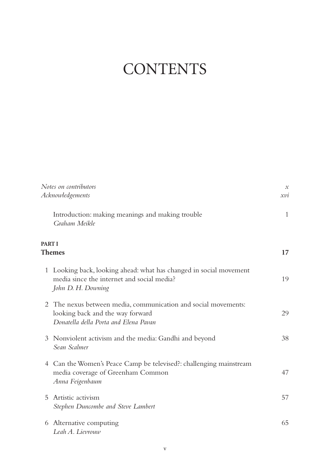## **CONTENTS**

| Notes on contributors<br>Acknowledgements |                                                                                                                                             | $\mathcal X$<br>xvi |
|-------------------------------------------|---------------------------------------------------------------------------------------------------------------------------------------------|---------------------|
|                                           | Introduction: making meanings and making trouble<br>Graham Meikle                                                                           | $\mathbf{1}$        |
| <b>PART I</b><br><b>Themes</b>            |                                                                                                                                             | 17                  |
|                                           | 1 Looking back, looking ahead: what has changed in social movement<br>media since the internet and social media?<br>John D. H. Downing      | 19                  |
|                                           | 2 The nexus between media, communication and social movements:<br>looking back and the way forward<br>Donatella della Porta and Elena Pavan | 29                  |
|                                           | 3 Nonviolent activism and the media: Gandhi and beyond<br>Sean Scalmer                                                                      | 38                  |
|                                           | 4 Can the Women's Peace Camp be televised?: challenging mainstream<br>media coverage of Greenham Common<br>Anna Feigenbaum                  | 47                  |
| 5.                                        | Artistic activism<br>Stephen Duncombe and Steve Lambert                                                                                     | 57                  |
|                                           | 6 Alternative computing<br>Leah A. Lievrouw                                                                                                 | 65                  |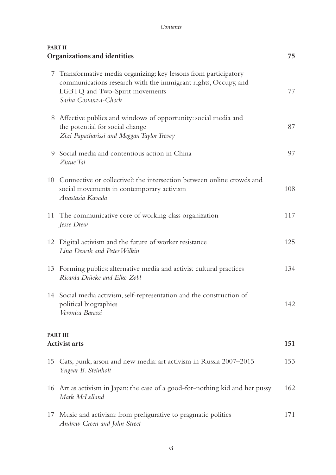|                 | <b>PART II</b><br>Organizations and identities                                                                                                                                                |     |
|-----------------|-----------------------------------------------------------------------------------------------------------------------------------------------------------------------------------------------|-----|
|                 | 7 Transformative media organizing: key lessons from participatory<br>communications research with the immigrant rights, Occupy, and<br>LGBTQ and Two-Spirit movements<br>Sasha Costanza-Chock | 77  |
|                 | 8 Affective publics and windows of opportunity: social media and<br>the potential for social change<br>Zizi Papacharissi and Meggan Taylor Trevey                                             | 87  |
|                 | 9 Social media and contentious action in China<br>Zixue Tai                                                                                                                                   | 97  |
|                 | 10 Connective or collective?: the intersection between online crowds and<br>social movements in contemporary activism<br>Anastasia Kavada                                                     | 108 |
|                 | 11 The communicative core of working class organization<br>Jesse Drew                                                                                                                         | 117 |
|                 | 12 Digital activism and the future of worker resistance<br>Lina Dencik and Peter Wilkin                                                                                                       | 125 |
|                 | 13 Forming publics: alternative media and activist cultural practices<br>Ricarda Drüeke and Elke Zobl                                                                                         | 134 |
|                 | 14 Social media activism, self-representation and the construction of<br>political biographies<br>Veronica Barassi                                                                            | 142 |
| <b>PART III</b> |                                                                                                                                                                                               |     |
|                 | <b>Activist arts</b>                                                                                                                                                                          | 151 |
| 15              | Cats, punk, arson and new media: art activism in Russia 2007-2015<br>Yngvar B. Steinholt                                                                                                      | 153 |
| 16              | Art as activism in Japan: the case of a good-for-nothing kid and her pussy<br>Mark McLelland                                                                                                  | 162 |
| 17              | Music and activism: from prefigurative to pragmatic politics<br>Andrew Green and John Street                                                                                                  | 171 |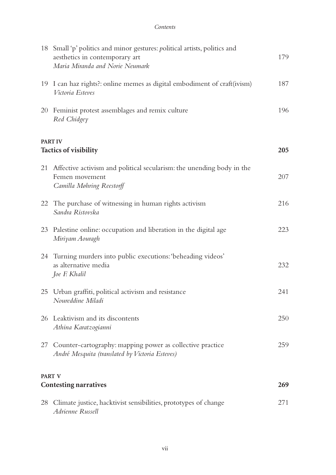|    | 18 Small 'p' politics and minor gestures: political artists, politics and<br>aesthetics in contemporary art<br>Maria Miranda and Norie Neumark | 179 |  |
|----|------------------------------------------------------------------------------------------------------------------------------------------------|-----|--|
|    | 19 I can haz rights?: online memes as digital embodiment of craft(ivism)<br>Victoria Esteves                                                   | 187 |  |
|    | 20 Feminist protest assemblages and remix culture<br>Red Chidgey                                                                               | 196 |  |
|    | <b>PART IV</b>                                                                                                                                 |     |  |
|    | <b>Tactics of visibility</b>                                                                                                                   | 205 |  |
|    | 21 Affective activism and political secularism: the unending body in the<br>Femen movement<br>Camilla Møhring Reestorff                        | 207 |  |
|    | 22 The purchase of witnessing in human rights activism<br>Sandra Ristovska                                                                     | 216 |  |
|    | 23 Palestine online: occupation and liberation in the digital age<br>Miriyam Aouragh                                                           | 223 |  |
|    | 24 Turning murders into public executions: 'beheading videos'<br>as alternative media<br>Joe F. Khalil                                         | 232 |  |
|    | 25 Urban graffiti, political activism and resistance<br>Noureddine Miladi                                                                      | 241 |  |
|    | 26 Leaktivism and its discontents<br>Athina Karatzogianni                                                                                      | 250 |  |
|    | 27 Counter-cartography: mapping power as collective practice<br>André Mesquita (translated by Victoria Esteves)                                | 259 |  |
|    | <b>PART V</b>                                                                                                                                  |     |  |
|    | <b>Contesting narratives</b>                                                                                                                   | 269 |  |
| 28 | Climate justice, hacktivist sensibilities, prototypes of change<br>Adrienne Russell                                                            | 271 |  |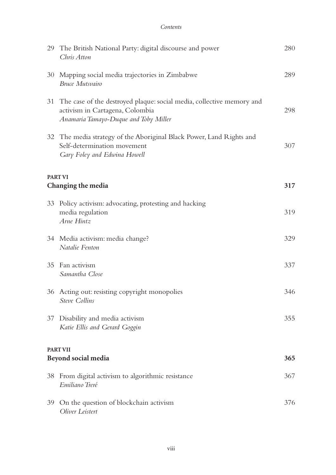|                     | 29 The British National Party: digital discourse and power<br>Chris Atton                                                                         | 280 |
|---------------------|---------------------------------------------------------------------------------------------------------------------------------------------------|-----|
| 30                  | Mapping social media trajectories in Zimbabwe<br>Bruce Mutsvairo                                                                                  | 289 |
| 31                  | The case of the destroyed plaque: social media, collective memory and<br>activism in Cartagena, Colombia<br>Anamaria Tamayo-Duque and Toby Miller | 298 |
|                     | 32 The media strategy of the Aboriginal Black Power, Land Rights and<br>Self-determination movement<br>Gary Foley and Edwina Howell               | 307 |
|                     | <b>PART VI</b>                                                                                                                                    |     |
|                     | Changing the media                                                                                                                                | 317 |
|                     | 33 Policy activism: advocating, protesting and hacking<br>media regulation<br>Arne Hintz                                                          | 319 |
|                     | 34 Media activism: media change?<br>Natalie Fenton                                                                                                | 329 |
| 35                  | Fan activism<br>Samantha Close                                                                                                                    | 337 |
|                     | 36 Acting out: resisting copyright monopolies<br><b>Steve Collins</b>                                                                             | 346 |
|                     | 37 Disability and media activism<br>Katie Ellis and Gerard Goggin                                                                                 | 355 |
|                     | <b>PART VII</b>                                                                                                                                   |     |
| Beyond social media |                                                                                                                                                   | 365 |
| 38                  | From digital activism to algorithmic resistance<br>Emiliano Treré                                                                                 | 367 |
| 39                  | On the question of blockchain activism<br>Oliver Leistert                                                                                         | 376 |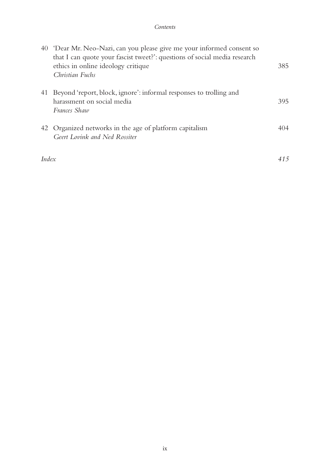|    | 40 'Dear Mr. Neo-Nazi, can you please give me your informed consent so<br>that I can quote your fascist tweet?': questions of social media research<br>ethics in online ideology critique | 385 |
|----|-------------------------------------------------------------------------------------------------------------------------------------------------------------------------------------------|-----|
|    | Christian Fuchs                                                                                                                                                                           |     |
| 41 | Beyond 'report, block, ignore': informal responses to trolling and<br>harassment on social media<br><i>Frances Shaw</i>                                                                   | 395 |
|    | 42 Organized networks in the age of platform capitalism<br>Geert Lovink and Ned Rossiter                                                                                                  | 404 |
|    | Index                                                                                                                                                                                     |     |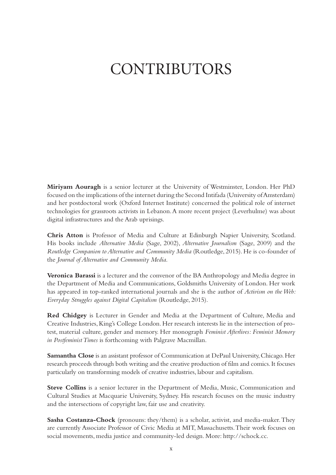### [CONTRIBUTORS](#page--1-0)

**Miriyam Aouragh** is a senior lecturer at the University of Westminster, London. Her PhD focused on the implications of the internet during the Second Intifada (University of Amsterdam) and her postdoctoral work (Oxford Internet Institute) concerned the political role of internet technologies for grassroots activists in Lebanon. A more recent project (Leverhulme) was about digital infrastructures and the Arab uprisings.

**Chris Atton** is Professor of Media and Culture at Edinburgh Napier University, Scotland. His books include *Alternative Media* (Sage, 2002), *Alternative Journalism* (Sage, 2009) and the *Routledge Companion to Alternative and Community Media* (Routledge, 2015). He is co-founder of the *Journal of Alternative and Community Media*.

**Veronica Barassi** is a lecturer and the convenor of the BA Anthropology and Media degree in the Department of Media and Communications, Goldsmiths University of London. Her work has appeared in top-ranked international journals and she is the author of *Activism on the Web: Everyday Struggles against Digital Capitalism* (Routledge, 2015).

**Red Chidgey** is Lecturer in Gender and Media at the Department of Culture, Media and Creative Industries, King's College London. Her research interests lie in the intersection of protest, material culture, gender and memory. Her monograph *Feminist Afterlives: Feminist Memory in Postfeminist Times* is forthcoming with Palgrave Macmillan.

**Samantha Close** is an assistant professor of Communication at DePaul University, Chicago. Her research proceeds through both writing and the creative production of film and comics. It focuses particularly on transforming models of creative industries, labour and capitalism.

**Steve Collins** is a senior lecturer in the Department of Media, Music, Communication and Cultural Studies at Macquarie University, Sydney. His research focuses on the music industry and the intersections of copyright law, fair use and creativity.

**Sasha Costanza-Chock** (pronouns: they/them) is a scholar, activist, and media-maker. They are currently Associate Professor of Civic Media at MIT, Massachusetts. Their work focuses on social movements, media justice and community-led design. More: http://schock.cc.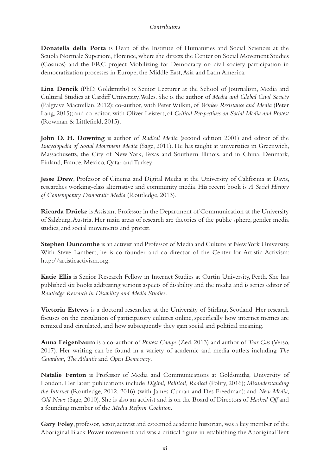**Donatella della Porta** is Dean of the Institute of Humanities and Social Sciences at the Scuola Normale Superiore, Florence, where she directs the Center on Social Movement Studies (Cosmos) and the ERC project Mobilizing for Democracy on civil society participation in democratization processes in Europe, the Middle East, Asia and Latin America.

**Lina Dencik** (PhD, Goldsmiths) is Senior Lecturer at the School of Journalism, Media and Cultural Studies at Cardiff University, Wales. She is the author of *Media and Global Civil Society* (Palgrave Macmillan, 2012); co-author, with Peter Wilkin, of *Worker Resistance and Media* (Peter Lang, 2015); and co-editor, with Oliver Leistert, of *Critical Perspectives on Social Media and Protest* (Rowman & Littlefield, 2015).

**John D. H. Downing** is author of *Radical Media* (second edition 2001) and editor of the *Encyclopedia of Social Movement Media* (Sage, 2011). He has taught at universities in Greenwich, Massachusetts, the City of New York, Texas and Southern Illinois, and in China, Denmark, Finland, France, Mexico, Qatar and Turkey.

**Jesse Drew**, Professor of Cinema and Digital Media at the University of California at Davis, researches working-class alternative and community media. His recent book is *A Social History of Contemporary Democratic Media* (Routledge, 2013).

**Ricarda Drüeke** is Assistant Professor in the Department of Communication at the University of Salzburg, Austria. Her main areas of research are theories of the public sphere, gender media studies, and social movements and protest.

**Stephen Duncombe** is an activist and Professor of Media and Culture at New York University. With Steve Lambert, he is co-founder and co-director of the Center for Artistic Activism: http://artisticactivism.org.

**Katie Ellis** is Senior Research Fellow in Internet Studies at Curtin University, Perth. She has published six books addressing various aspects of disability and the media and is series editor of *Routledge Research in Disability and Media Studies*.

**Victoria Esteves** is a doctoral researcher at the University of Stirling, Scotland. Her research focuses on the circulation of participatory cultures online, specifically how internet memes are remixed and circulated, and how subsequently they gain social and political meaning.

**Anna Feigenbaum** is a co-author of *Protest Camps* (Zed, 2013) and author of *Tear Gas* (Verso, 2017). Her writing can be found in a variety of academic and media outlets including *The Guardian*, *The Atlantic* and *Open Democracy*.

**Natalie Fenton** is Professor of Media and Communications at Goldsmiths, University of London. Her latest publications include *Digital, Political, Radical* (Polity, 2016); *Misunderstanding the Internet* (Routledge, 2012, 2016) (with James Curran and Des Freedman); and *New Media, Old News* (Sage, 2010). She is also an activist and is on the Board of Directors of *Hacked Off* and a founding member of the *Media Reform Coalition*.

**Gary Foley**, professor, actor, activist and esteemed academic historian, was a key member of the Aboriginal Black Power movement and was a critical figure in establishing the Aboriginal Tent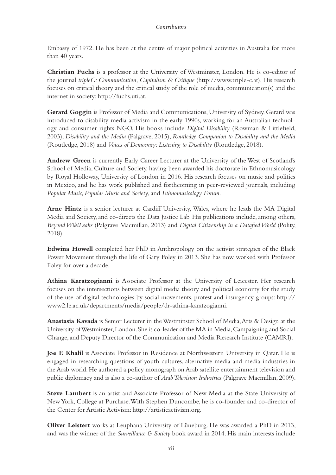#### *Contributors*

Embassy of 1972. He has been at the centre of major political activities in Australia for more than 40 years.

**Christian Fuchs** is a professor at the University of Westminster, London. He is co-editor of the journal *tripleC: Communication, Capitalism & Critique* (http://www.triple-c.at). His research focuses on critical theory and the critical study of the role of media, communication(s) and the internet in society: http://fuchs.uti.at.

**Gerard Goggin** is Professor of Media and Communications, University of Sydney. Gerard was introduced to disability media activism in the early 1990s, working for an Australian technology and consumer rights NGO. His books include *Digital Disability* (Rowman & Littlefield, 2003), *Disability and the Media* (Palgrave, 2015), *Routledge Companion to Disability and the Media* (Routledge, 2018) and *Voices of Democracy: Listening to Disability* (Routledge, 2018).

**Andrew Green** is currently Early Career Lecturer at the University of the West of Scotland's School of Media, Culture and Society, having been awarded his doctorate in Ethnomusicology by Royal Holloway, University of London in 2016. His research focuses on music and politics in Mexico, and he has work published and forthcoming in peer-reviewed journals, including *Popular Music, Popular Music and Society*, and *Ethnomusicology Forum*.

Arne Hintz is a senior lecturer at Cardiff University, Wales, where he leads the MA Digital Media and Society, and co-directs the Data Justice Lab. His publications include, among others, *Beyond WikiLeaks* (Palgrave Macmillan, 2013) and *Digital Citizenship in a Datafied World* (Polity, 2018).

**Edwina Howell** completed her PhD in Anthropology on the activist strategies of the Black Power Movement through the life of Gary Foley in 2013. She has now worked with Professor Foley for over a decade.

**Athina Karatzogianni** is Associate Professor at the University of Leicester. Her research focuses on the intersections between digital media theory and political economy for the study of the use of digital technologies by social movements, protest and insurgency groups: http:// www2.le.ac.uk/departments/media/people/dr-athina-karatzogianni.

**Anastasia Kavada** is Senior Lecturer in the Westminster School of Media, Arts & Design at the University of Westminster, London. She is co-leader of the MA in Media, Campaigning and Social Change, and Deputy Director of the Communication and Media Research Institute (CAMRI).

**Joe F. Khalil** is Associate Professor in Residence at Northwestern University in Qatar. He is engaged in researching questions of youth cultures, alternative media and media industries in the Arab world. He authored a policy monograph on Arab satellite entertainment television and public diplomacy and is also a co-author of *Arab Television Industries* (Palgrave Macmillan, 2009).

**Steve Lambert** is an artist and Associate Professor of New Media at the State University of New York, College at Purchase. With Stephen Duncombe, he is co-founder and co-director of the Center for Artistic Activism: http://artisticactivism.org.

**Oliver Leistert** works at Leuphana University of Lüneburg. He was awarded a PhD in 2013, and was the winner of the *Surveillance & Society* book award in 2014. His main interests include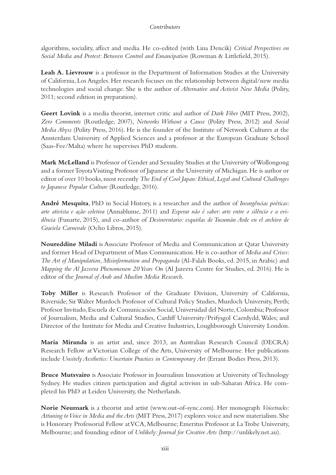### *Contributors*

algorithms, sociality, affect and media. He co-edited (with Lina Dencik) *Critical Perspectives on Social Media and Protest: Between Control and Emancipation* (Rowman & Littlefield, 2015).

**Leah A. Lievrouw** is a professor in the Department of Information Studies at the University of California, Los Angeles. Her research focuses on the relationship between digital/new media technologies and social change. She is the author of *Alternative and Activist New Media* (Polity, 2011; second edition in preparation).

**Geert Lovink** is a media theorist, internet critic and author of *Dark Fiber* (MIT Press, 2002), *Zero Comments* (Routledge, 2007), *Networks Without a Cause* (Polity Press, 2012) and *Social Media Abyss* (Polity Press, 2016). He is the founder of the Institute of Network Cultures at the Amsterdam University of Applied Sciences and a professor at the European Graduate School (Saas-Fee/Malta) where he supervises PhD students.

**Mark McLelland** is Professor of Gender and Sexuality Studies at the University of Wollongong and a former Toyota Visiting Professor of Japanese at the University of Michigan. He is author or editor of over 10 books, most recently *The End of Cool Japan: Ethical, Legal and Cultural Challenges to Japanese Popular Culture* (Routledge, 2016).

**André Mesquita**, PhD in Social History, is a researcher and the author of *Insurgências poéticas: arte ativista e ação coletiva* (Annablume, 2011) and *Esperar não é saber: arte entre o silêncio e a evidência* (Funarte, 2015), and co-author of *Desinventario: esquirlas de Tucumán Arde en el archivo de Graciela Carnevale* (Ocho Libros, 2015)*.*

**Noureddine Miladi** is Associate Professor of Media and Communication at Qatar University and former Head of Department of Mass Communication. He is co-author of *Media and Crises: The Art of Manipulation, Misinformation and Propaganda* (Al-Falah Books, ed. 2015, in Arabic) and *Mapping the Al Jazeera Phenomenon 20 Years On* (Al Jazeera Centre for Studies, ed. 2016). He is editor of the *Journal of Arab and Muslim Media Research*.

**Toby Miller** is Research Professor of the Graduate Division, University of California, Riverside; Sir Walter Murdoch Professor of Cultural Policy Studies, Murdoch University, Perth; Profesor Invitado, Escuela de Comunicación Social, Universidad del Norte, Colombia; Professor of Journalism, Media and Cultural Studies, Cardiff University/Prifysgol Caerdydd, Wales; and Director of the Institute for Media and Creative Industries, Loughborough University London.

**Maria Miranda** is an artist and, since 2013, an Australian Research Council (DECRA) Research Fellow at Victorian College of the Arts, University of Melbourne. Her publications include *Unsitely Aesthetics: Uncertain Practices in Contemporary Art* (Errant Bodies Press, 2013).

**Bruce Mutsvairo** is Associate Professor in Journalism Innovation at University of Technology Sydney. He studies citizen participation and digital activism in sub-Saharan Africa. He completed his PhD at Leiden University, the Netherlands.

**Norie Neumark** is a theorist and artist (www.out-of-sync.com). Her monograph *Voicetracks: Attuning to Voice in Media and the Arts* (MIT Press, 2017) explores voice and new materialism. She is Honorary Professorial Fellow at VCA, Melbourne; Emeritus Professor at La Trobe University, Melbourne; and founding editor of *Unlikely: Journal for Creative Arts* (http://unlikely.net.au).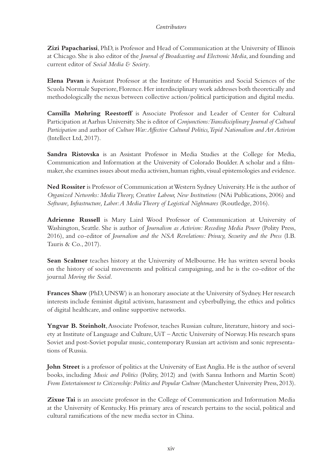**Zizi Papacharissi**, PhD, is Professor and Head of Communication at the University of Illinois at Chicago. She is also editor of the *Journal of Broadcasting and Electronic Media*, and founding and current editor of *Social Media & Society*.

**Elena Pavan** is Assistant Professor at the Institute of Humanities and Social Sciences of the Scuola Normale Superiore, Florence. Her interdisciplinary work addresses both theoretically and methodologically the nexus between collective action/political participation and digital media.

**Camilla Møhring Reestorff** is Associate Professor and Leader of Center for Cultural Participation at Aarhus University. She is editor of *Conjunctions: Transdisciplinary Journal of Cultural Participation* and author of *Culture War: Affective Cultural Politics, Tepid Nationalism and Art Activism* (Intellect Ltd, 2017).

**Sandra Ristovska** is an Assistant Professor in Media Studies at the College for Media, Communication and Information at the University of Colorado Boulder. A scholar and a filmmaker, she examines issues about media activism, human rights, visual epistemologies and evidence.

**Ned Rossiter** is Professor of Communication at Western Sydney University. He is the author of *Organized Networks: Media Theory, Creative Labour, New Institutions* (NAi Publications, 2006) and *Software, Infrastructure, Labor: A Media Theory of Logistical Nightmares* (Routledge, 2016).

**Adrienne Russell** is Mary Laird Wood Professor of Communication at University of Washington, Seattle. She is author of *Journalism as Activism: Recoding Media Power* (Polity Press, 2016), and co-editor of *Journalism and the NSA Revelations: Privacy, Security and the Press* (I.B. Tauris & Co., 2017).

**Sean Scalmer** teaches history at the University of Melbourne. He has written several books on the history of social movements and political campaigning, and he is the co-editor of the journal *Moving the Social*.

**Frances Shaw** (PhD, UNSW) is an honorary associate at the University of Sydney. Her research interests include feminist digital activism, harassment and cyberbullying, the ethics and politics of digital healthcare, and online supportive networks.

**Yngvar B. Steinholt**, Associate Professor, teaches Russian culture, literature, history and society at Institute of Language and Culture, UiT – Arctic University of Norway. His research spans Soviet and post-Soviet popular music, contemporary Russian art activism and sonic representations of Russia.

**John Street** is a professor of politics at the University of East Anglia. He is the author of several books, including *Music and Politics* (Polity, 2012) and (with Sanna Inthorn and Martin Scott) *From Entertainment to Citizenship: Politics and Popular Culture* (Manchester University Press, 2013).

**Zixue Tai** is an associate professor in the College of Communication and Information Media at the University of Kentucky. His primary area of research pertains to the social, political and cultural ramifications of the new media sector in China.